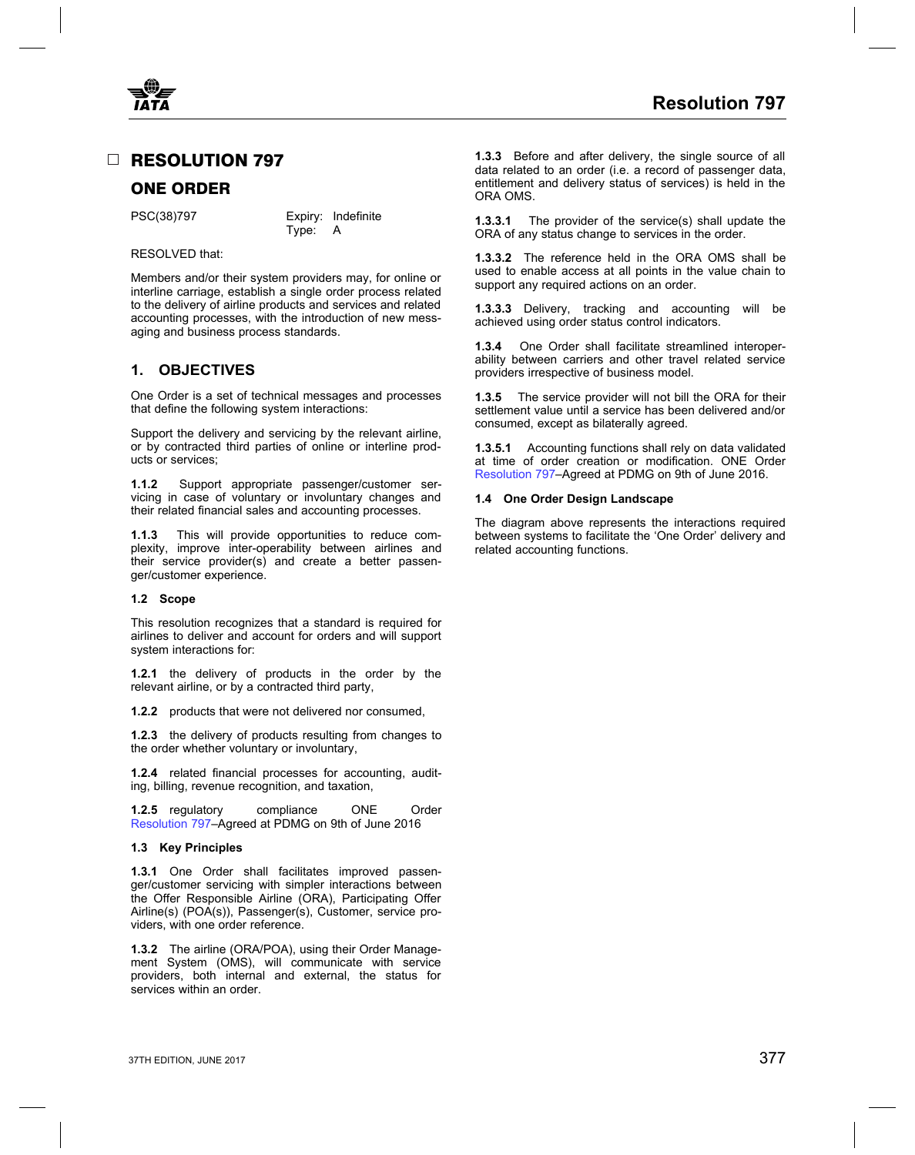<span id="page-0-0"></span>

Members and/or their system providers may, for online or and to Members and points in the interline carriage, establish a single order process related support any required actions on an order. to the delivery of airline products and services and related **1.3.3.3** Delivery, tracking and accounting will be accounting processes, with the introduction of new mess- achieved using order status control indicators. aging and business process standards.

One Order is a set of technical messages and processes **1.3.5** The service provider will not bill the ORA for their<br>that define the following system interactions:<br>settlement value until a service has been delivered and/or

Support the delivery and servicing by the relevant airline, or by contracted third parties of online or interline prod- **1.3.5.1** Accounting functions shall rely on data validated

**1.1.2** Support appropriate passenger/customer servicing in case of voluntary or involuntary changes and **1.4 One Order Design Landscape** their related financial sales and accounting processes.

plexity, improve inter-operability between airlines and their service provider(s) and create a better passenger/customer experience.

## **1.2 Scope**

This resolution recognizes that a standard is required for airlines to deliver and account for orders and will support system interactions for:

**1.2.1** the delivery of products in the order by the relevant airline, or by a contracted third party,

**1.2.2** products that were not delivered nor consumed,

**1.2.3** the delivery of products resulting from changes to the order whether voluntary or involuntary,

**1.2.4** related financial processes for accounting, auditing, billing, revenue recognition, and taxation,

**1.2.5** regulatory compliance ONE Order Resolution 797–Agreed at PDMG on 9th of June 2016

### **1.3 Key Principles**

**1.3.1** One Order shall facilitates improved passenger/customer servicing with simpler interactions between the Offer Responsible Airline (ORA), Participating Offer Airline(s) (POA(s)), Passenger(s), Customer, service providers, with one order reference.

**1.3.2** The airline (ORA/POA), using their Order Management System (OMS), will communicate with service providers, both internal and external, the status for services within an order.

□ **RESOLUTION 797** 1.3.3 Before and after delivery, the single source of all data related to an order (i.e. a record of passenger data, **EXEMPLE ORDER** Entitlement and delivery status of services) is held in the ORDER CORDER ORA OMS.

PSC(38)797 Expiry: Indefinite **1.3.3.1** The provider of the service(s) shall update the PSC(38)797 Fype: A CRA of any status change to services in the order ORA of any status change to services in the order.

RESOLVED that:<br>**1.3.3.2** The reference held in the ORA OMS shall be<br>Marghars and/ar their system arguidars may far arijing ar used to enable access at all points in the value chain to

**1.3.4** One Order shall facilitate streamlined interoperability between carriers and other travel related service **1. OBJECTIVES** providers irrespective of business model.

> settlement value until a service has been delivered and/or consumed, except as bilaterally agreed.

> at time of order creation or modification. ONE Order Resolution 797–Agreed at PDMG on 9th of June 2016.

The diagram above represents the interactions required **1.1.3** This will provide opportunities to reduce com-<br>plexity, improve inter-operability between airlines and related accounting functions.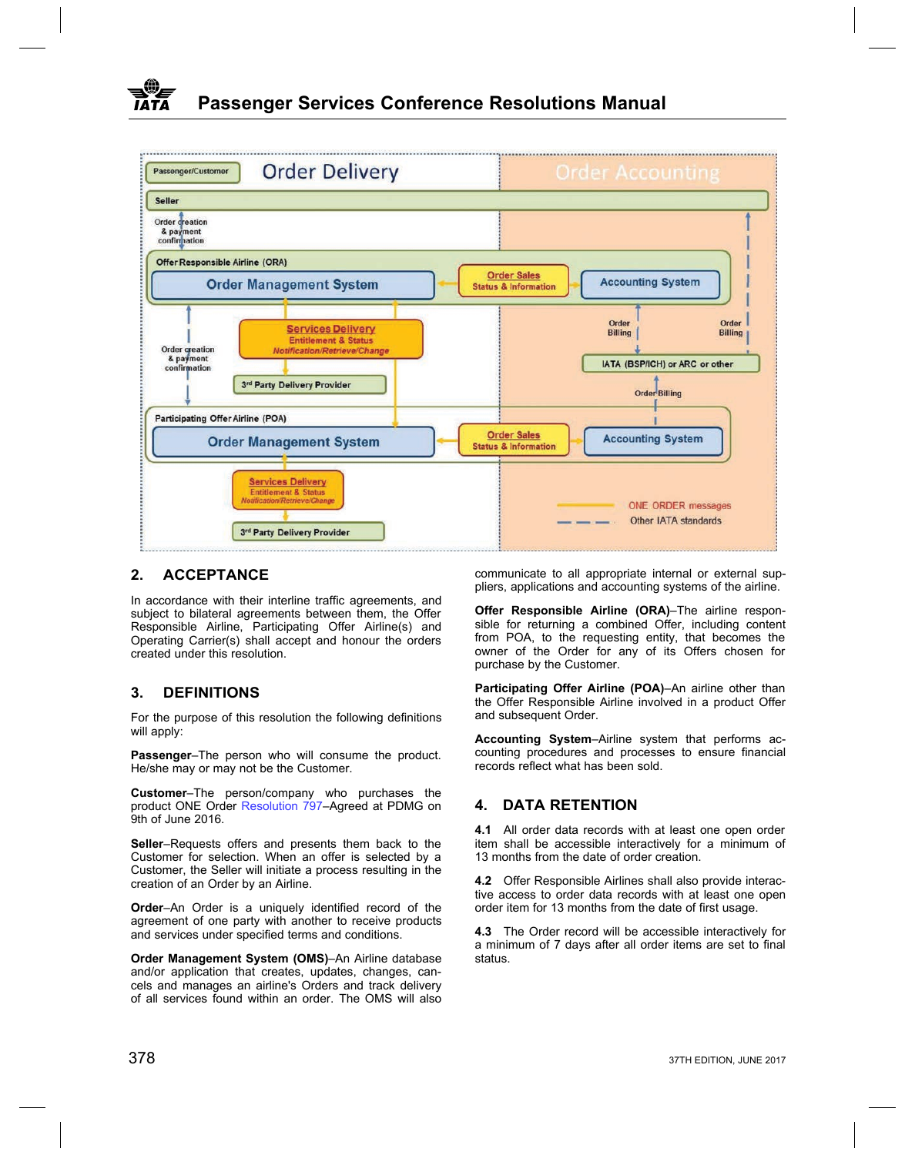

In accordance with their interline traffic agreements, and subject to bilateral agreements between them, the Offer **Offer Responsible Airline (ORA)**–The airline respon-Responsible Airline, Participating Offer Airline(s) and Operating Carrier(s) shall accept and honour the orders from POA, to the requesting entity, that becomes the created under this resolution. owner of the Order for any of its Offers chosen for

For the purpose of this resolution the following definitions and subsequent Order. will apply:<br>**Accounting System**–Airline system that performs ac-

He/she may or may not be the Customer.

**Customer**–The person/company who purchases the product ONE Order [Resolution 797](#page-0-0)–Agreed at PDMG on **4. DATA RETENTION** 9th of June 2016.

Customer for selection. When an offer is selected by a Customer, the Seller will initiate a process resulting in the creation of an Order by an Airline. **4.2** Offer Responsible Airlines shall also provide interac-

**Order-An Order is a uniquely identified record of the** order item for 13 months from the date of first usage. agreement of one party with another to receive products and services under specified terms and conditions.

**Order Management System (OMS)-An Airline database** and/or application that creates, updates, changes, cancels and manages an airline's Orders and track delivery of all services found within an order. The OMS will also

**2. ACCEPTANCE communicate to all appropriate internal or external sup**pliers, applications and accounting systems of the airline.

purchase by the Customer.

**Participating Offer Airline (POA)–An airline other than <b>DEFINITIONS Compared Access Participating Offer Responsible Airline involved in a product Offer** 

**Passenger–The person who will consume the product.** counting procedures and processes to ensure financial<br>He/she may or may not be the Customer<br>ecords reflect what has been sold.

**4.1** All order data records with at least one open order **Seller–Requests offers and presents them back to the** item shall be accessible interactively for a minimum of Customer for selection. When an offer is selected by a 13 months from the date of order creation.

tive access to order data records with at least one open

4.3 The Order record will be accessible interactively for a minimum of 7 days after all order items are set to final